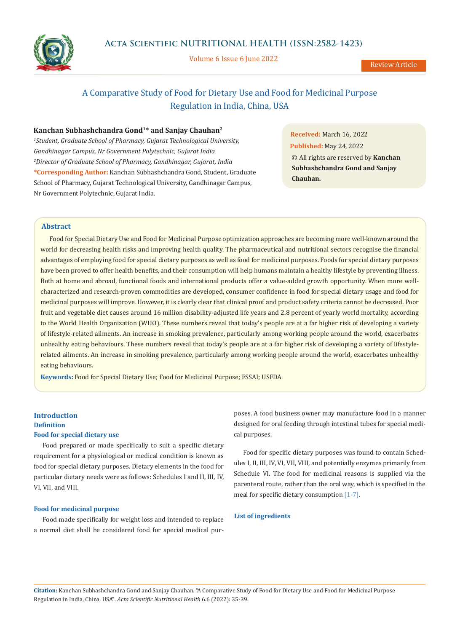

Volume 6 Issue 6 June 2022

Review Article

## A Comparative Study of Food for Dietary Use and Food for Medicinal Purpose Regulation in India, China, USA

### **Kanchan Subhashchandra Gond1\* and Sanjay Chauhan2**

*1 Student, Graduate School of Pharmacy, Gujarat Technological University, Gandhinagar Campus, Nr Government Polytechnic, Gujarat India 2 Director of Graduate School of Pharmacy, Gandhinagar, Gujarat, India* **\*Corresponding Author:** Kanchan Subhashchandra Gond, Student, Graduate School of Pharmacy, Gujarat Technological University, Gandhinagar Campus, Nr Government Polytechnic, Gujarat India.

**Received:** March 16, 2022 **Published:** May 24, 2022 © All rights are reserved by **Kanchan Subhashchandra Gond and Sanjay Chauhan.**

### **Abstract**

Food for Special Dietary Use and Food for Medicinal Purpose optimization approaches are becoming more well-known around the world for decreasing health risks and improving health quality. The pharmaceutical and nutritional sectors recognise the financial advantages of employing food for special dietary purposes as well as food for medicinal purposes. Foods for special dietary purposes have been proved to offer health benefits, and their consumption will help humans maintain a healthy lifestyle by preventing illness. Both at home and abroad, functional foods and international products offer a value-added growth opportunity. When more wellcharacterized and research-proven commodities are developed, consumer confidence in food for special dietary usage and food for medicinal purposes will improve. However, it is clearly clear that clinical proof and product safety criteria cannot be decreased. Poor fruit and vegetable diet causes around 16 million disability-adjusted life years and 2.8 percent of yearly world mortality, according to the World Health Organization (WHO). These numbers reveal that today's people are at a far higher risk of developing a variety of lifestyle-related ailments. An increase in smoking prevalence, particularly among working people around the world, exacerbates unhealthy eating behaviours. These numbers reveal that today's people are at a far higher risk of developing a variety of lifestylerelated ailments. An increase in smoking prevalence, particularly among working people around the world, exacerbates unhealthy eating behaviours.

**Keywords:** Food for Special Dietary Use; Food for Medicinal Purpose; FSSAI; USFDA

# **Introduction Definition**

### **Food for special dietary use**

Food prepared or made specifically to suit a specific dietary requirement for a physiological or medical condition is known as food for special dietary purposes. Dietary elements in the food for particular dietary needs were as follows: Schedules I and II, III, IV, VI, VII, and VIII.

#### **Food for medicinal purpose**

Food made specifically for weight loss and intended to replace a normal diet shall be considered food for special medical purposes. A food business owner may manufacture food in a manner designed for oral feeding through intestinal tubes for special medical purposes.

Food for specific dietary purposes was found to contain Schedules I, II, III, IV, VI, VII, VIII, and potentially enzymes primarily from Schedule VI. The food for medicinal reasons is supplied via the parenteral route, rather than the oral way, which is specified in the meal for specific dietary consumption [1-7].

### **List of ingredients**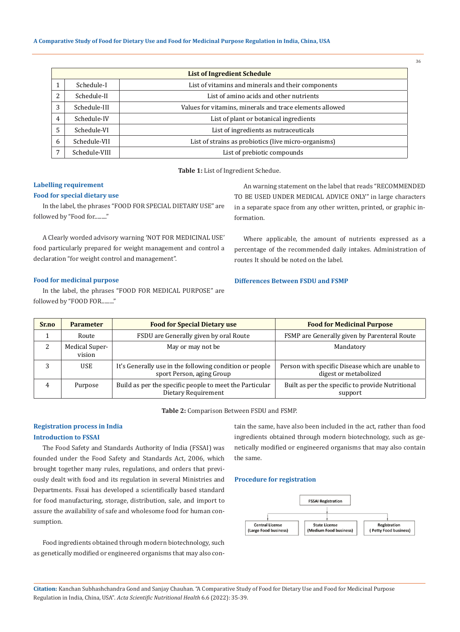**A Comparative Study of Food for Dietary Use and Food for Medicinal Purpose Regulation in India, China, USA**

| List of Ingredient Schedule |               |                                                          |  |  |  |  |
|-----------------------------|---------------|----------------------------------------------------------|--|--|--|--|
|                             | Schedule-I    | List of vitamins and minerals and their components       |  |  |  |  |
|                             | Schedule-II   | List of amino acids and other nutrients                  |  |  |  |  |
| 3                           | Schedule-III  | Values for vitamins, minerals and trace elements allowed |  |  |  |  |
| 4                           | Schedule-IV   | List of plant or botanical ingredients                   |  |  |  |  |
| 5                           | Schedule-VI   | List of ingredients as nutraceuticals                    |  |  |  |  |
| 6                           | Schedule-VII  | List of strains as probiotics (live micro-organisms)     |  |  |  |  |
|                             | Schedule-VIII | List of prebiotic compounds                              |  |  |  |  |

**Table 1:** List of Ingredient Schedue.

### **Labelling requirement**

#### **Food for special dietary use**

In the label, the phrases "FOOD FOR SPECIAL DIETARY USE" are followed by "Food for........."

A Clearly worded advisory warning 'NOT FOR MEDICINAL USE' food particularly prepared for weight management and control a declaration "for weight control and management".

### **Food for medicinal purpose**

In the label, the phrases "FOOD FOR MEDICAL PURPOSE" are followed by "FOOD FOR........."

An warning statement on the label that reads "RECOMMENDED TO BE USED UNDER MEDICAL ADVICE ONLY" in large characters in a separate space from any other written, printed, or graphic information.

Where applicable, the amount of nutrients expressed as a percentage of the recommended daily intakes. Administration of routes It should be noted on the label.

#### **Differences Between FSDU and FSMP**

| Sr.no | <b>Parameter</b>         | <b>Food for Special Dietary use</b>                                                  | <b>Food for Medicinal Purpose</b>                                         |  |
|-------|--------------------------|--------------------------------------------------------------------------------------|---------------------------------------------------------------------------|--|
|       | Route                    | FSDU are Generally given by oral Route                                               | FSMP are Generally given by Parenteral Route                              |  |
|       | Medical Super-<br>vision | May or may not be                                                                    | Mandatory                                                                 |  |
| 3     | <b>USE</b>               | It's Generally use in the following condition or people<br>sport Person, aging Group | Person with specific Disease which are unable to<br>digest or metabolized |  |
| 4     | Purpose                  | Build as per the specific people to meet the Particular<br>Dietary Requirement       | Built as per the specific to provide Nutritional<br>support               |  |

**Table 2:** Comparison Between FSDU and FSMP.

# **Registration process in India**

### **Introduction to FSSAI**

The Food Safety and Standards Authority of India (FSSAI) was founded under the Food Safety and Standards Act, 2006, which brought together many rules, regulations, and orders that previously dealt with food and its regulation in several Ministries and Departments. Fssai has developed a scientifically based standard for food manufacturing, storage, distribution, sale, and import to assure the availability of safe and wholesome food for human consumption.

Food ingredients obtained through modern biotechnology, such as genetically modified or engineered organisms that may also contain the same, have also been included in the act, rather than food ingredients obtained through modern biotechnology, such as genetically modified or engineered organisms that may also contain the same.

#### **Procedure for registration**



**Citation:** Kanchan Subhashchandra Gond and Sanjay Chauhan*.* "A Comparative Study of Food for Dietary Use and Food for Medicinal Purpose Regulation in India, China, USA". *Acta Scientific Nutritional Health* 6.6 (2022): 35-39.

36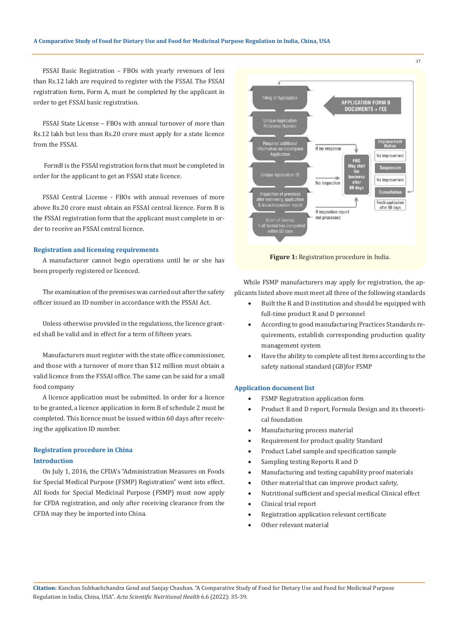#### **A Comparative Study of Food for Dietary Use and Food for Medicinal Purpose Regulation in India, China, USA**

FSSAI Basic Registration – FBOs with yearly revenues of less than Rs.12 lakh are required to register with the FSSAI. The FSSAI registration form, Form A, must be completed by the applicant in order to get FSSAI basic registration.

FSSAI State License – FBOs with annual turnover of more than Rs.12 lakh but less than Rs.20 crore must apply for a state licence from the FSSAI.

 FormB is the FSSAI registration form that must be completed in order for the applicant to get an FSSAI state licence.

FSSAI Central License - FBOs with annual revenues of more above Rs.20 crore must obtain an FSSAI central licence. Form B is the FSSAI registration form that the applicant must complete in order to receive an FSSAI central licence.

#### **Registration and licensing requirements**

A manufacturer cannot begin operations until he or she has been properly registered or licenced.

The examination of the premises was carried out after the safety officer issued an ID number in accordance with the FSSAI Act.

Unless otherwise provided in the regulations, the licence granted shall be valid and in effect for a term of fifteen years.

Manufacturers must register with the state office commissioner, and those with a turnover of more than \$12 million must obtain a valid licence from the FSSAI office. The same can be said for a small food company

A licence application must be submitted. In order for a licence to be granted, a licence application in form B of schedule 2 must be completed. This licence must be issued within 60 days after receiving the application ID number.

### **Registration procedure in China Introduction**

On July 1, 2016, the CFDA's "Administration Measures on Foods for Special Medical Purpose (FSMP) Registration" went into effect. All foods for Special Medicinal Purpose (FSMP) must now apply for CFDA registration, and only after receiving clearance from the CFDA may they be imported into China.



**Figure 1:** Registration procedure in India.

While FSMP manufacturers may apply for registration, the applicants listed above must meet all three of the following standards

- Built the R and D institution and should be equipped with full-time product R and D personnel
- According to good manufacturing Practices Standards requirements, establish corresponding production quality management system
- Have the ability to complete all test items according to the safety national standard (GB)for FSMP

### **Application document list**

- FSMP Registration application form
- Product R and D report, Formula Design and its theoretical foundation
- Manufacturing process material
- Requirement for product quality Standard
- Product Label sample and specification sample
- Sampling testing Reports R and D
- Manufacturing and testing capability proof materials
- Other material that can improve product safety,
- Nutritional sufficient and special medical Clinical effect
- Clinical trial report
- Registration application relevant certificate
- Other relevant material

37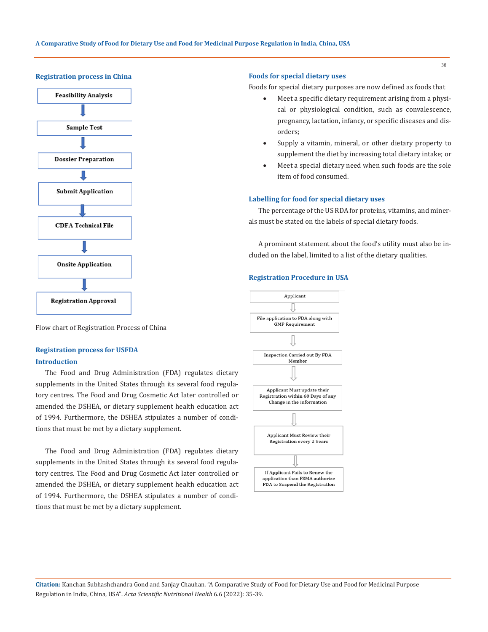#### **Registration process in China**



Flow chart of Registration Process of China

### **Registration process for USFDA Introduction**

The Food and Drug Administration (FDA) regulates dietary supplements in the United States through its several food regulatory centres. The Food and Drug Cosmetic Act later controlled or amended the DSHEA, or dietary supplement health education act of 1994. Furthermore, the DSHEA stipulates a number of conditions that must be met by a dietary supplement.

The Food and Drug Administration (FDA) regulates dietary supplements in the United States through its several food regulatory centres. The Food and Drug Cosmetic Act later controlled or amended the DSHEA, or dietary supplement health education act of 1994. Furthermore, the DSHEA stipulates a number of conditions that must be met by a dietary supplement.

#### **Foods for special dietary uses**

Foods for special dietary purposes are now defined as foods that

- Meet a specific dietary requirement arising from a physical or physiological condition, such as convalescence, pregnancy, lactation, infancy, or specific diseases and disorders;
- Supply a vitamin, mineral, or other dietary property to supplement the diet by increasing total dietary intake; or
- Meet a special dietary need when such foods are the sole item of food consumed.

#### **Labelling for food for special dietary uses**

The percentage of the US RDA for proteins, vitamins, and minerals must be stated on the labels of special dietary foods.

A prominent statement about the food's utility must also be included on the label, limited to a list of the dietary qualities.

#### **Registration Procedure in USA**